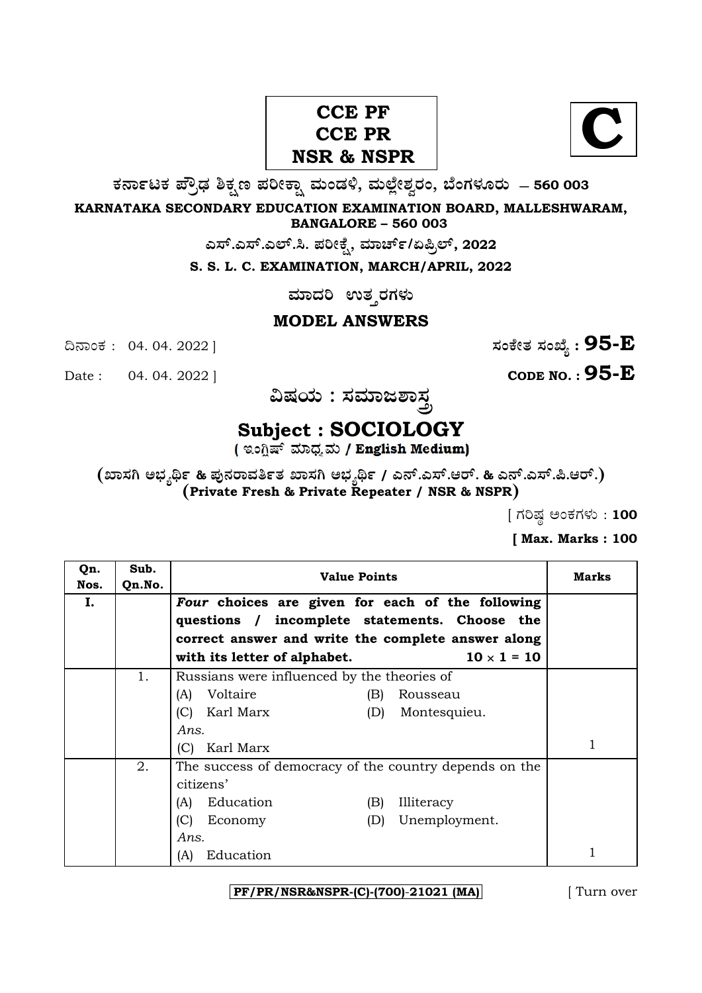## CCE PF<br>
CCE PR
<br>
R
& NSPR
<br>
N **C CCE PR NSR & NSPR**



**O⁄´¤%lO⁄ ÆË√v⁄ ÃO⁄–y Æ⁄¬fiO¤– »⁄flMs⁄ÿ, »⁄fl≈Ê«fiÀ⁄ ¡⁄M, ∑ÊMV⁄◊⁄‡¡⁄fl — 560 003** 

**KARNATAKA SECONDARY EDUCATION EXAMINATION BOARD, MALLESHWARAM, BANGALORE – 560 003** 

**G—È.G—È.G≈È.". Æ⁄¬fiOÊ⁄–, »⁄·¤^È%/HØ√≈È, 2022**

**S. S. L. C. EXAMINATION, MARCH/APRIL, 2022** 

 $\,$ ಮಾದರಿ ಉತ**್ತರಗಳು** 

### **MODEL ANSWERS**

Date : 04. 04. 2022 ] **CODE NO. : 95-E**

¶´¤MO⁄ : 04. 04. 2022 ] **—⁄MOÊfi}⁄ —⁄MSÊ¿ : 95-E**

 $\mathbf{\hat{a}}$ ಷಯ : ಸಮಾಜಶಾ<u>ಸ್</u>ರ

# **Subject : SOCIOLOGY**

**(S¤—⁄W @∫⁄¥¿£% & Æ⁄'¥´⁄¡¤»⁄~%}⁄ S¤—⁄W @∫⁄¥¿£% / G´È.G—È.A¡È. & G´È.G—È.Ø.A¡È.) (Private Fresh & Private Repeater / NSR & NSPR)**

 $[$  ಗರಿಷ್ಣ ಅಂಕಗಳು : 100

**[ Max. Marks : 100** 

| Qn.<br>Nos. | Sub.<br>Qn.No. | <b>Value Points</b>                                                                                                                                                                                           | Marks |
|-------------|----------------|---------------------------------------------------------------------------------------------------------------------------------------------------------------------------------------------------------------|-------|
| Ι.          |                | Four choices are given for each of the following<br>questions / incomplete statements. Choose the<br>correct answer and write the complete answer along<br>$10 \times 1 = 10$<br>with its letter of alphabet. |       |
|             | 1.             | Russians were influenced by the theories of<br>Voltaire<br>(A)<br>(B)<br>Rousseau<br>Karl Marx<br>(C)<br>Montesquieu.<br>(D)<br>Ans.                                                                          |       |
|             |                | Karl Marx<br>(C)                                                                                                                                                                                              |       |
|             | 2.             | The success of democracy of the country depends on the<br>citizens'<br>Education<br>Illiteracy<br>(B)<br>(A)<br>(C)<br>Unemployment.<br>Economy<br>(D)<br>Ans.                                                |       |
|             |                | Education<br>(A)                                                                                                                                                                                              |       |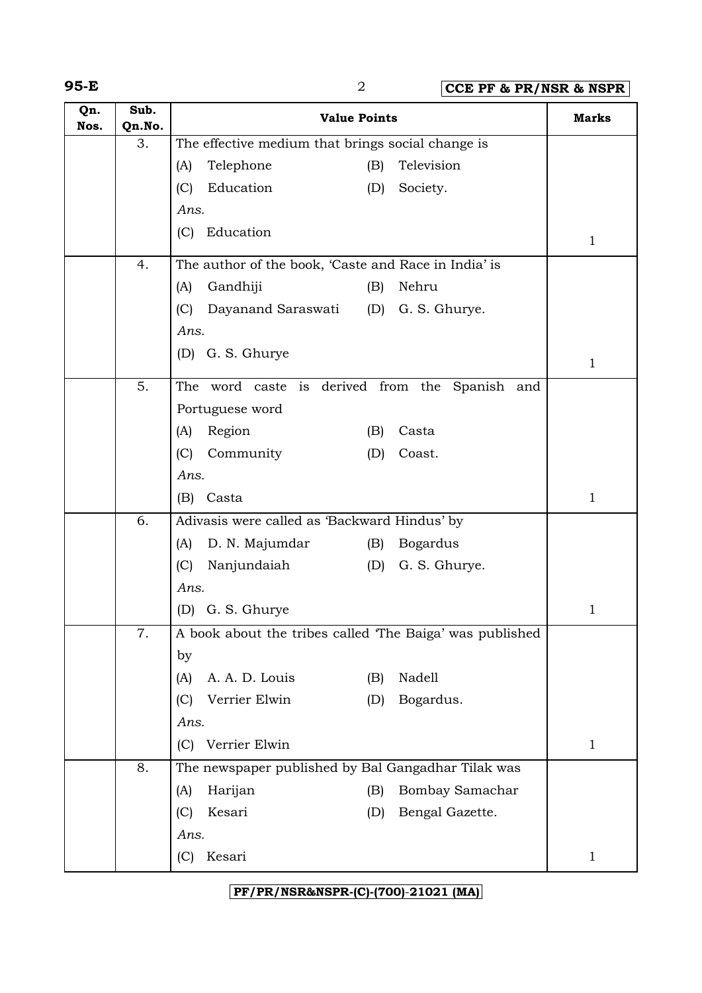**95-E** 2 **CCE PF & PR/NSR & NSPR**

| Qn.<br>Nos. | Sub.<br>Qn.No. | <b>Value Points</b>                                      |                               | <b>Marks</b> |
|-------------|----------------|----------------------------------------------------------|-------------------------------|--------------|
|             | 3.             | The effective medium that brings social change is        |                               |              |
|             |                | Telephone<br>(A)                                         | Television<br>(B)             |              |
|             |                | Education<br>(C)                                         | Society.<br>(D)               |              |
|             |                | Ans.                                                     |                               |              |
|             |                | Education<br>(C)                                         |                               | $\mathbf{1}$ |
|             | 4.             | The author of the book, 'Caste and Race in India' is     |                               |              |
|             |                | Gandhiji<br>(A)                                          | Nehru<br>(B)                  |              |
|             |                | Dayanand Saraswati<br>(C)                                | G. S. Ghurye.<br>(D)          |              |
|             |                | Ans.                                                     |                               |              |
|             |                | G. S. Ghurye<br>(D)                                      |                               | $\mathbf{1}$ |
|             | 5.             | The word caste is derived from the Spanish and           |                               |              |
|             |                | Portuguese word                                          |                               |              |
|             |                | Region<br>(A)                                            | Casta<br>(B)                  |              |
|             |                | Community<br>(C)                                         | (D)<br>Coast.                 |              |
|             |                | Ans.                                                     |                               |              |
|             |                | (B)<br>Casta                                             |                               | $\mathbf{1}$ |
|             | 6.             | Adivasis were called as 'Backward Hindus' by             |                               |              |
|             |                | D. N. Majumdar<br>(A)                                    | <b>Bogardus</b><br>(B)        |              |
|             |                | (C)<br>Nanjundaiah                                       | G. S. Ghurye.<br>(D)          |              |
|             |                | Ans.                                                     |                               |              |
|             |                | (D) G. S. Ghurye                                         |                               | $\mathbf{1}$ |
|             | 7.             | A book about the tribes called 'The Baiga' was published |                               |              |
|             |                | by                                                       |                               |              |
|             |                | A. A. D. Louis<br>(A)                                    | Nadell<br>(B)                 |              |
|             |                | Verrier Elwin<br>(C)                                     | Bogardus.<br>(D)              |              |
|             |                | Ans.                                                     |                               |              |
|             |                | Verrier Elwin<br>(C)                                     |                               | $\mathbf{1}$ |
|             | 8.             | The newspaper published by Bal Gangadhar Tilak was       |                               |              |
|             |                | Harijan<br>(A)                                           | <b>Bombay Samachar</b><br>(B) |              |
|             |                | Kesari<br>(C)                                            | (D)<br>Bengal Gazette.        |              |
|             |                | Ans.                                                     |                               |              |
|             |                | Kesari<br>(C)                                            |                               | $\mathbf{1}$ |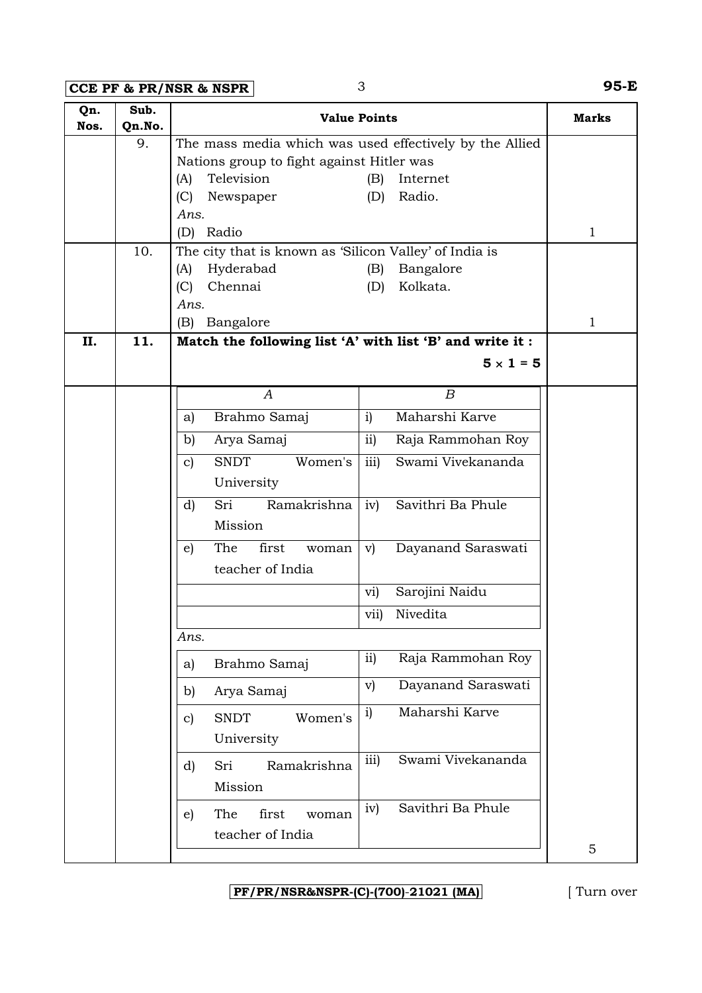**CCE PF & PR/NSR & NSPR** 3 **95-E**

| Qn.<br>Nos. | Sub.<br>Qn.No. |                                                           | <b>Value Points</b>                                     | <b>Marks</b> |
|-------------|----------------|-----------------------------------------------------------|---------------------------------------------------------|--------------|
|             | 9.             |                                                           | The mass media which was used effectively by the Allied |              |
|             |                | Nations group to fight against Hitler was                 |                                                         |              |
|             |                | Television<br>(A)                                         | Internet<br>(B)                                         |              |
|             |                | (C)<br>Newspaper                                          | Radio.<br>(D)                                           |              |
|             |                | Ans.                                                      |                                                         |              |
|             |                | (D) Radio                                                 |                                                         | $\mathbf{1}$ |
|             | 10.            | The city that is known as 'Silicon Valley' of India is    |                                                         |              |
|             |                | Hyderabad<br>(A)                                          | Bangalore<br>(B)                                        |              |
|             |                | (C)<br>Chennai<br>Ans.                                    | Kolkata.<br>(D)                                         |              |
|             |                | Bangalore<br>(B)                                          |                                                         | $\mathbf{1}$ |
| II.         | 11.            | Match the following list 'A' with list 'B' and write it : |                                                         |              |
|             |                |                                                           |                                                         |              |
|             |                |                                                           | $5 \times 1 = 5$                                        |              |
|             |                | $\boldsymbol{A}$                                          | $\boldsymbol{B}$                                        |              |
|             |                | Brahmo Samaj<br>a)                                        | Maharshi Karve<br>i)                                    |              |
|             |                | Arya Samaj<br>b)                                          | ii)<br>Raja Rammohan Roy                                |              |
|             |                | <b>SNDT</b><br>Women's<br>c)                              | iii)<br>Swami Vivekananda                               |              |
|             |                | University                                                |                                                         |              |
|             |                | Ramakrishna<br>Sri<br>d)                                  | Savithri Ba Phule<br>iv)                                |              |
|             |                | Mission                                                   |                                                         |              |
|             |                | first<br>The<br>woman<br>e)                               | Dayanand Saraswati<br>V)                                |              |
|             |                | teacher of India                                          |                                                         |              |
|             |                |                                                           | Sarojini Naidu<br>vi)                                   |              |
|             |                |                                                           | Nivedita<br>vii)                                        |              |
|             |                | Ans.                                                      |                                                         |              |
|             |                | Brahmo Samaj<br>a)                                        | Raja Rammohan Roy<br>ii)                                |              |
|             |                | Arya Samaj<br>b)                                          | Dayanand Saraswati<br>$\mathbf{v})$                     |              |
|             |                | <b>SNDT</b><br>Women's<br>$\mathbf{c}$                    | Maharshi Karve<br>i)                                    |              |
|             |                | University                                                |                                                         |              |
|             |                | Ramakrishna<br>d)<br>Sri                                  | Swami Vivekananda<br>iii)                               |              |
|             |                | Mission                                                   |                                                         |              |
|             |                |                                                           |                                                         |              |
|             |                | first<br>The<br>e)<br>woman                               | Savithri Ba Phule<br>iv)                                |              |
|             |                | teacher of India                                          |                                                         |              |
|             |                |                                                           |                                                         | 5            |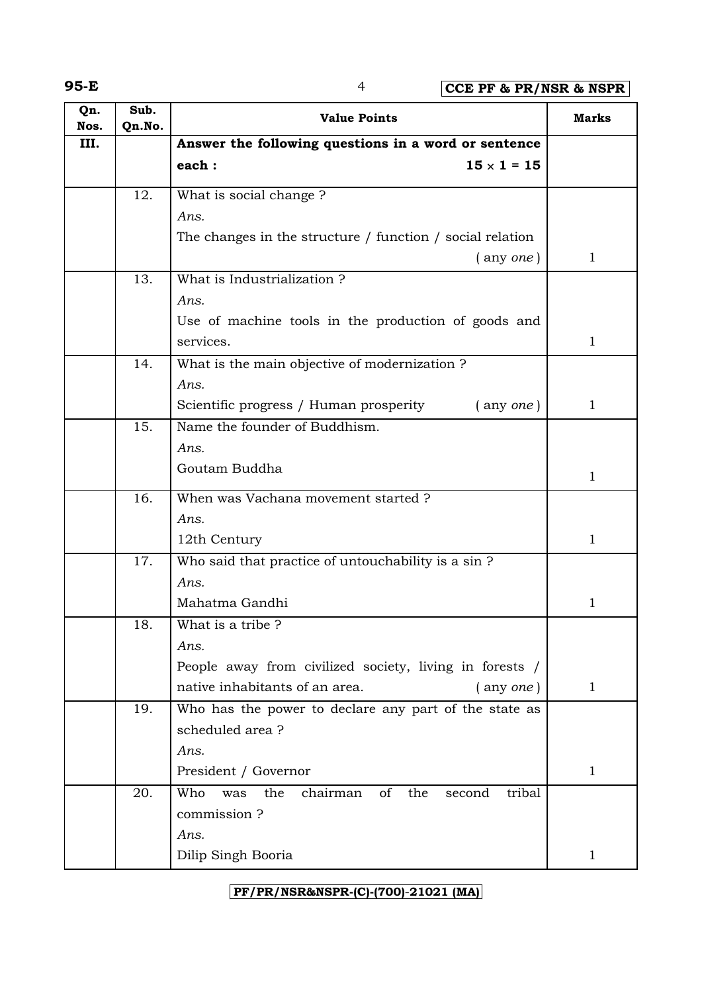**95-E** 4 **CCE PF & PR/NSR & NSPR**

| Qn.<br>Nos. | Sub.<br>Qn.No. | <b>Value Points</b>                                                      | <b>Marks</b> |
|-------------|----------------|--------------------------------------------------------------------------|--------------|
| III.        |                | Answer the following questions in a word or sentence                     |              |
|             |                | each:<br>$15 \times 1 = 15$                                              |              |
|             | 12.            | What is social change?                                                   |              |
|             |                | Ans.                                                                     |              |
|             |                | The changes in the structure $/$ function $/$ social relation            |              |
|             |                | $($ any one)                                                             | $\mathbf{1}$ |
|             | 13.            | What is Industrialization?                                               |              |
|             |                | Ans.                                                                     |              |
|             |                | Use of machine tools in the production of goods and                      |              |
|             |                | services.                                                                | $\mathbf{1}$ |
|             | 14.            | What is the main objective of modernization ?                            |              |
|             |                | Ans.                                                                     |              |
|             |                | Scientific progress / Human prosperity<br>$($ any <i>one</i> $)$         | $\mathbf{1}$ |
|             | 15.            | Name the founder of Buddhism.                                            |              |
|             |                | Ans.                                                                     |              |
|             |                | Goutam Buddha                                                            | $\mathbf{1}$ |
|             | 16.            | When was Vachana movement started ?                                      |              |
|             |                | Ans.                                                                     |              |
|             |                | 12th Century                                                             | $\mathbf{1}$ |
|             | 17.            | Who said that practice of untouchability is a sin ?                      |              |
|             |                | Ans.                                                                     |              |
|             |                | Mahatma Gandhi                                                           | $\mathbf{1}$ |
|             | 18.            | What is a tribe?                                                         |              |
|             |                | Ans.                                                                     |              |
|             |                | People away from civilized society, living in forests /                  |              |
|             |                | native inhabitants of an area.<br>$($ any <i>one</i> $)$                 | $\mathbf{1}$ |
|             | 19.            | Who has the power to declare any part of the state as<br>scheduled area? |              |
|             |                | Ans.                                                                     |              |
|             |                | President / Governor                                                     | $\mathbf{1}$ |
|             | 20.            | Who<br>the<br>of<br>tribal<br>the<br>chairman<br>second<br>was           |              |
|             |                | commission?                                                              |              |
|             |                | Ans.                                                                     |              |
|             |                | Dilip Singh Booria                                                       | 1            |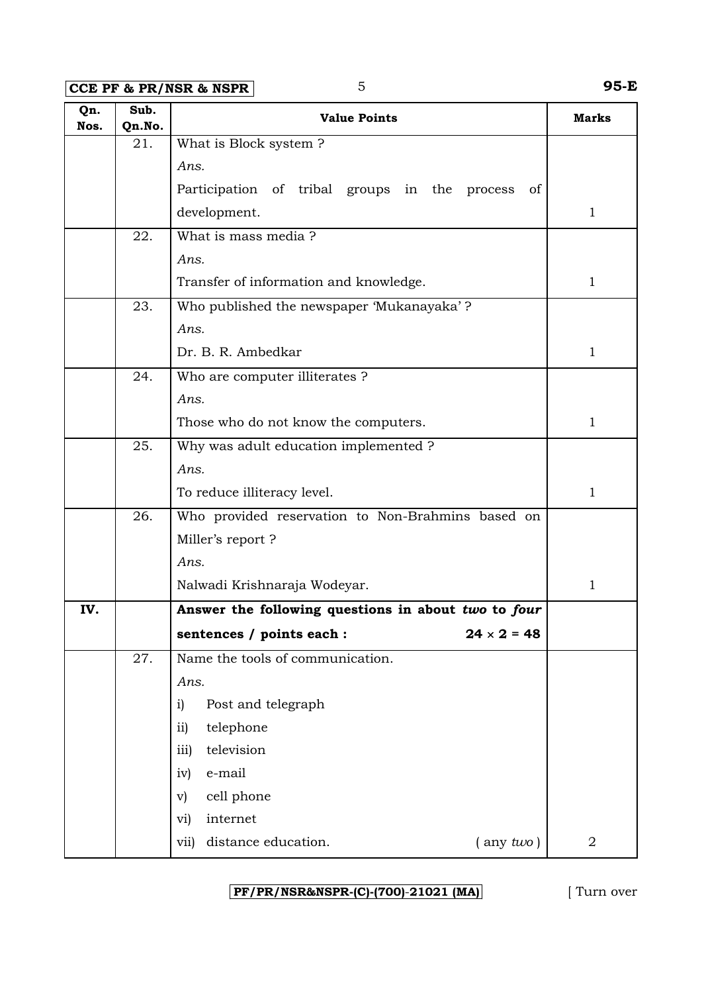**CCE PF & PR/NSR & NSPR** 5 **95-E** 

| Qn.<br>Nos. | Sub.<br>Qn.No. | <b>Value Points</b>                                 | <b>Marks</b>   |
|-------------|----------------|-----------------------------------------------------|----------------|
|             | 21.            | What is Block system?                               |                |
|             |                | Ans.                                                |                |
|             |                | Participation of tribal groups in the process<br>of |                |
|             |                | development.                                        | $\mathbf{1}$   |
|             | 22.            | What is mass media?                                 |                |
|             |                | Ans.                                                |                |
|             |                | Transfer of information and knowledge.              | $\mathbf{1}$   |
|             | 23.            | Who published the newspaper 'Mukanayaka'?           |                |
|             |                | Ans.                                                |                |
|             |                | Dr. B. R. Ambedkar                                  | $\mathbf{1}$   |
|             | 24.            | Who are computer illiterates ?                      |                |
|             |                | Ans.                                                |                |
|             |                | Those who do not know the computers.                | $\mathbf{1}$   |
|             | 25.            | Why was adult education implemented ?               |                |
|             |                | Ans.                                                |                |
|             |                | To reduce illiteracy level.                         | $\mathbf{1}$   |
|             | 26.            | Who provided reservation to Non-Brahmins based on   |                |
|             |                | Miller's report?                                    |                |
|             |                | Ans.                                                |                |
|             |                | Nalwadi Krishnaraja Wodeyar.                        | 1              |
| IV.         |                | Answer the following questions in about two to four |                |
|             |                | sentences / points each :<br>$24 \times 2 = 48$     |                |
|             | 27.            | Name the tools of communication.                    |                |
|             |                | Ans.                                                |                |
|             |                | Post and telegraph<br>$\mathbf{i}$                  |                |
|             |                | telephone<br>$\overline{11}$                        |                |
|             |                | television<br>iii)                                  |                |
|             |                | e-mail<br>iv)                                       |                |
|             |                | cell phone<br>$\rm v)$                              |                |
|             |                | internet<br>vi)                                     |                |
|             |                | distance education.<br>$($ any $two)$<br>vii)       | $\overline{2}$ |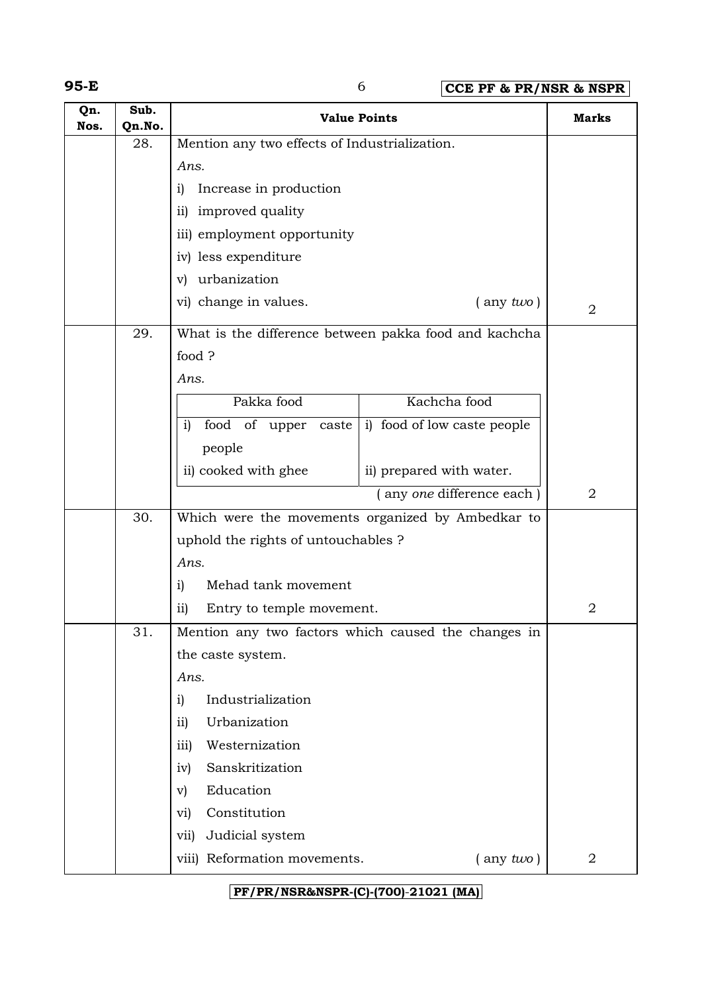## **95-E** 6 **CCE PF & PR/NSR & NSPR**

| Qn.<br>Nos. | Sub.<br>Qn.No. | <b>Value Points</b>                                                |                | <b>Marks</b>   |
|-------------|----------------|--------------------------------------------------------------------|----------------|----------------|
|             | 28.            | Mention any two effects of Industrialization.                      |                |                |
|             |                | Ans.                                                               |                |                |
|             |                | Increase in production<br>i)                                       |                |                |
|             |                | ii) improved quality                                               |                |                |
|             |                | iii) employment opportunity                                        |                |                |
|             |                | iv) less expenditure                                               |                |                |
|             |                | v) urbanization                                                    |                |                |
|             |                | vi) change in values.                                              | $($ any $two)$ | $\overline{2}$ |
|             | 29.            | What is the difference between pakka food and kachcha              |                |                |
|             |                | food ?                                                             |                |                |
|             |                | Ans.                                                               |                |                |
|             |                | Pakka food<br>Kachcha food                                         |                |                |
|             |                | food of upper caste<br>i) food of low caste people<br>$\mathbf{i}$ |                |                |
|             |                | people                                                             |                |                |
|             |                | ii) cooked with ghee<br>ii) prepared with water.                   |                |                |
|             |                | (any one difference each)                                          |                | $\overline{2}$ |
|             | 30.            | Which were the movements organized by Ambedkar to                  |                |                |
|             |                | uphold the rights of untouchables?                                 |                |                |
|             |                | Ans.                                                               |                |                |
|             |                | Mehad tank movement<br>i)                                          |                |                |
|             |                | $\overline{11}$<br>Entry to temple movement.                       |                | $\overline{2}$ |
|             | 31.            | Mention any two factors which caused the changes in                |                |                |
|             |                | the caste system.                                                  |                |                |
|             |                | Ans.                                                               |                |                |
|             |                | Industrialization<br>$\mathbf{i}$                                  |                |                |
|             |                | Urbanization<br>$\overline{11}$                                    |                |                |
|             |                | Westernization<br>iii)                                             |                |                |
|             |                | Sanskritization<br>iv)                                             |                |                |
|             |                | Education<br>$\rm v)$                                              |                |                |
|             |                | Constitution<br>vi)                                                |                |                |
|             |                | Judicial system<br>vii)                                            |                |                |
|             |                | viii) Reformation movements.                                       | $($ any $two)$ | 2              |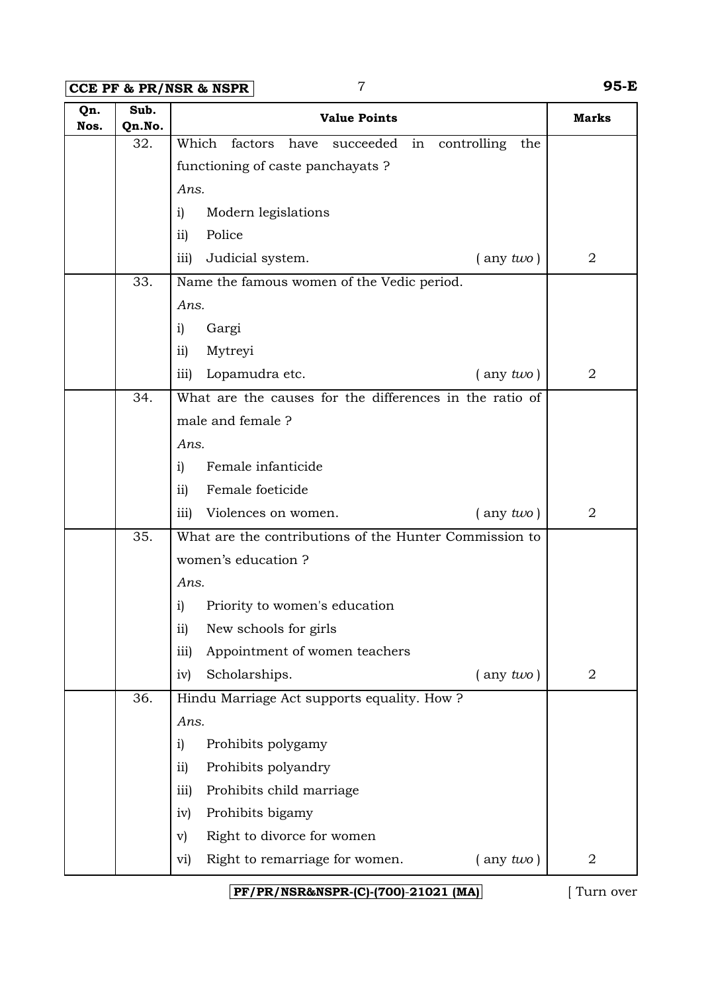**CCE PF & PR/NSR & NSPR** 7 **95-E**

| Nos.<br>Qn.No.<br>32.<br>Which factors<br>controlling<br>the<br>have<br>succeeded<br>in<br>functioning of caste panchayats?<br>Ans.<br>Modern legislations<br>i)<br>Police<br>$\overline{11}$<br>$\overline{2}$<br>Judicial system.<br>$($ any $two)$<br>$\overline{iii}$<br>33.<br>Name the famous women of the Vedic period.<br>Ans.<br>Gargi<br>i)<br>Mytreyi<br>$\overline{11}$<br>$\overline{2}$<br>Lopamudra etc.<br>$($ any $two)$<br>$\overline{111}$<br>What are the causes for the differences in the ratio of<br>34. |  |
|---------------------------------------------------------------------------------------------------------------------------------------------------------------------------------------------------------------------------------------------------------------------------------------------------------------------------------------------------------------------------------------------------------------------------------------------------------------------------------------------------------------------------------|--|
|                                                                                                                                                                                                                                                                                                                                                                                                                                                                                                                                 |  |
|                                                                                                                                                                                                                                                                                                                                                                                                                                                                                                                                 |  |
|                                                                                                                                                                                                                                                                                                                                                                                                                                                                                                                                 |  |
|                                                                                                                                                                                                                                                                                                                                                                                                                                                                                                                                 |  |
|                                                                                                                                                                                                                                                                                                                                                                                                                                                                                                                                 |  |
|                                                                                                                                                                                                                                                                                                                                                                                                                                                                                                                                 |  |
|                                                                                                                                                                                                                                                                                                                                                                                                                                                                                                                                 |  |
|                                                                                                                                                                                                                                                                                                                                                                                                                                                                                                                                 |  |
|                                                                                                                                                                                                                                                                                                                                                                                                                                                                                                                                 |  |
|                                                                                                                                                                                                                                                                                                                                                                                                                                                                                                                                 |  |
|                                                                                                                                                                                                                                                                                                                                                                                                                                                                                                                                 |  |
|                                                                                                                                                                                                                                                                                                                                                                                                                                                                                                                                 |  |
| male and female ?                                                                                                                                                                                                                                                                                                                                                                                                                                                                                                               |  |
| Ans.                                                                                                                                                                                                                                                                                                                                                                                                                                                                                                                            |  |
| Female infanticide<br>i)                                                                                                                                                                                                                                                                                                                                                                                                                                                                                                        |  |
| Female foeticide<br>$\overline{ii}$                                                                                                                                                                                                                                                                                                                                                                                                                                                                                             |  |
| $\overline{2}$<br>Violences on women.<br>$($ any $two)$<br>iii)                                                                                                                                                                                                                                                                                                                                                                                                                                                                 |  |
| 35.<br>What are the contributions of the Hunter Commission to                                                                                                                                                                                                                                                                                                                                                                                                                                                                   |  |
| women's education?                                                                                                                                                                                                                                                                                                                                                                                                                                                                                                              |  |
| Ans.                                                                                                                                                                                                                                                                                                                                                                                                                                                                                                                            |  |
| Priority to women's education<br>i)                                                                                                                                                                                                                                                                                                                                                                                                                                                                                             |  |
| New schools for girls<br>$\mathbf{ii}$                                                                                                                                                                                                                                                                                                                                                                                                                                                                                          |  |
| Appointment of women teachers<br>$\overline{iii}$                                                                                                                                                                                                                                                                                                                                                                                                                                                                               |  |
| Scholarships.<br>$\overline{2}$<br>iv)<br>$($ any $two)$                                                                                                                                                                                                                                                                                                                                                                                                                                                                        |  |
| 36.<br>Hindu Marriage Act supports equality. How ?                                                                                                                                                                                                                                                                                                                                                                                                                                                                              |  |
| Ans.                                                                                                                                                                                                                                                                                                                                                                                                                                                                                                                            |  |
| Prohibits polygamy<br>$\mathbf{i}$                                                                                                                                                                                                                                                                                                                                                                                                                                                                                              |  |
| Prohibits polyandry<br>$\overline{ii}$                                                                                                                                                                                                                                                                                                                                                                                                                                                                                          |  |
| Prohibits child marriage<br>iii)                                                                                                                                                                                                                                                                                                                                                                                                                                                                                                |  |
| Prohibits bigamy<br>iv)                                                                                                                                                                                                                                                                                                                                                                                                                                                                                                         |  |
| Right to divorce for women<br>$\mathbf{v}$                                                                                                                                                                                                                                                                                                                                                                                                                                                                                      |  |
| Right to remarriage for women.<br>$\overline{2}$<br>$($ any $two)$<br>vi)                                                                                                                                                                                                                                                                                                                                                                                                                                                       |  |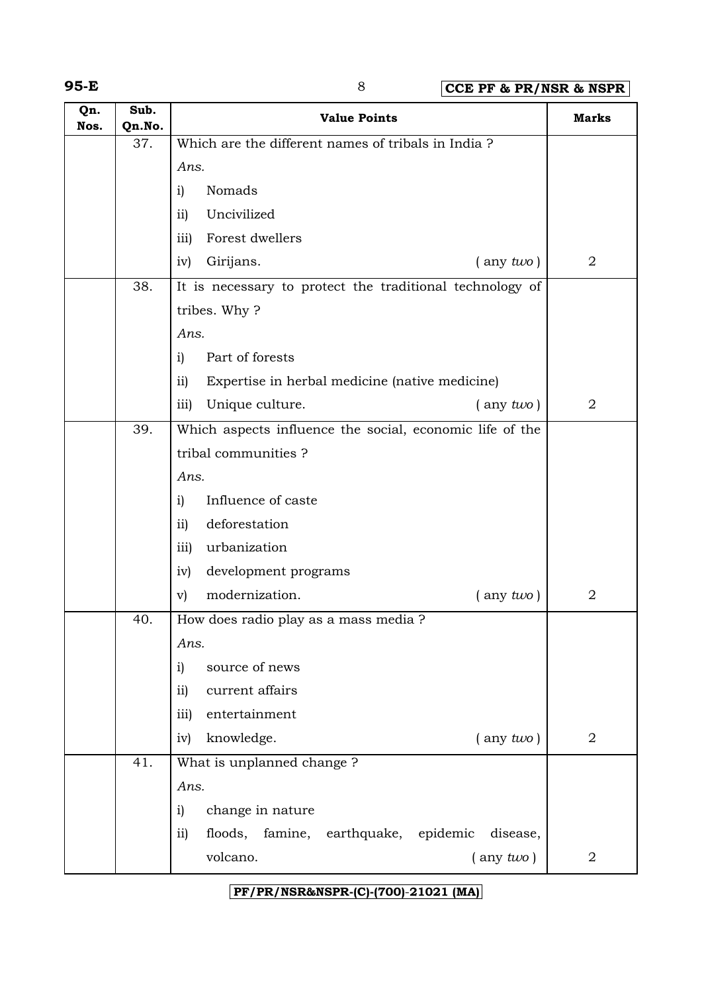**95-E** 8 **CCE PF & PR/NSR & NSPR**

| Qn.<br>Nos. | Sub.<br>Qn.No. | <b>Value Points</b>                                                 | <b>Marks</b>   |
|-------------|----------------|---------------------------------------------------------------------|----------------|
|             | 37.            | Which are the different names of tribals in India?                  |                |
|             |                | Ans.                                                                |                |
|             |                | Nomads<br>i)                                                        |                |
|             |                | Uncivilized<br>$\overline{11}$                                      |                |
|             |                | Forest dwellers<br>iii)                                             |                |
|             |                | Girijans.<br>$($ any $two)$<br>iv)                                  | $\overline{2}$ |
|             | 38.            | It is necessary to protect the traditional technology of            |                |
|             |                | tribes. Why?                                                        |                |
|             |                | Ans.                                                                |                |
|             |                | Part of forests<br>i)                                               |                |
|             |                | Expertise in herbal medicine (native medicine)<br>$\overline{11}$   |                |
|             |                | Unique culture.<br>iii)<br>$($ any $two)$                           | $\overline{2}$ |
|             | 39.            | Which aspects influence the social, economic life of the            |                |
|             |                | tribal communities?                                                 |                |
|             |                | Ans.                                                                |                |
|             |                | Influence of caste<br>i)                                            |                |
|             |                | deforestation<br>$\overline{11}$                                    |                |
|             |                | urbanization<br>iii)                                                |                |
|             |                | development programs<br>iv)                                         |                |
|             |                | modernization.<br>$($ any $two)$<br>$\mathbf{v})$                   | $\overline{2}$ |
|             | 40.            | How does radio play as a mass media ?                               |                |
|             |                | Ans.                                                                |                |
|             |                | source of news<br>i)                                                |                |
|             |                | current affairs<br>$\overline{11}$                                  |                |
|             |                | entertainment<br>iii)                                               |                |
|             |                | knowledge.<br>$($ any $two)$<br>iv)                                 | $\overline{2}$ |
|             | 41.            | What is unplanned change?                                           |                |
|             |                | Ans.                                                                |                |
|             |                | change in nature<br>i)                                              |                |
|             |                | floods, famine, earthquake, epidemic<br>disease,<br>$\overline{11}$ |                |
|             |                | volcano.<br>$($ any $two)$                                          | $\overline{2}$ |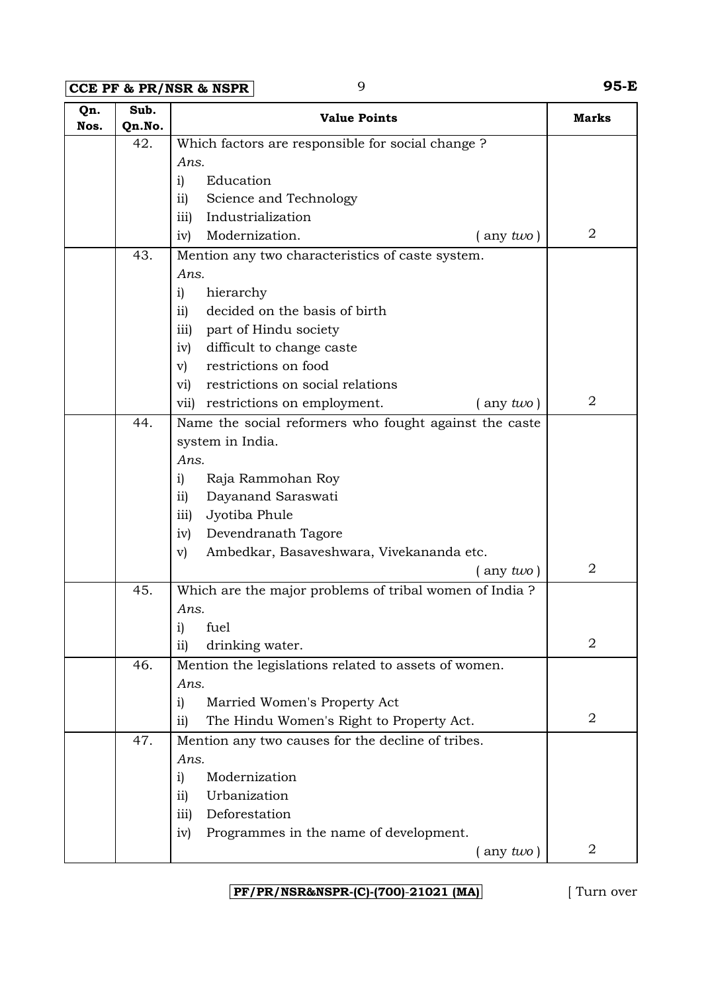**CCE PF & PR/NSR & NSPR** 9 **95-E**

| Qn.<br>Nos. | Sub.<br>Qn.No. | <b>Value Points</b>                                    | <b>Marks</b>   |
|-------------|----------------|--------------------------------------------------------|----------------|
|             | 42.            | Which factors are responsible for social change?       |                |
|             |                | Ans.                                                   |                |
|             |                | Education<br>i)                                        |                |
|             |                | Science and Technology<br>$\overline{11}$              |                |
|             |                | Industrialization<br>iii)                              |                |
|             |                | Modernization.<br>$($ any two)<br>iv)                  | $\overline{2}$ |
|             | 43.            | Mention any two characteristics of caste system.       |                |
|             |                | Ans.                                                   |                |
|             |                | hierarchy<br>i)                                        |                |
|             |                | decided on the basis of birth<br>$\overline{11}$       |                |
|             |                | part of Hindu society<br>iii)                          |                |
|             |                | difficult to change caste<br>iv)                       |                |
|             |                | restrictions on food<br>$\mathbf{v})$                  |                |
|             |                | restrictions on social relations<br>$\rm{v}$ i)        |                |
|             |                | restrictions on employment.<br>$($ any $two)$<br>vii)  | 2              |
|             | 44.            | Name the social reformers who fought against the caste |                |
|             |                | system in India.                                       |                |
|             |                | Ans.                                                   |                |
|             |                | Raja Rammohan Roy<br>i)                                |                |
|             |                | Dayanand Saraswati<br>$\overline{ii}$                  |                |
|             |                | Jyotiba Phule<br>iii)                                  |                |
|             |                | Devendranath Tagore<br>iv)                             |                |
|             |                | Ambedkar, Basaveshwara, Vivekananda etc.<br>$\rm v)$   |                |
|             |                | $($ any two)                                           | 2              |
|             | 45.            | Which are the major problems of tribal women of India? |                |
|             |                | Ans.                                                   |                |
|             |                | i) fuel                                                |                |
|             |                | drinking water.<br>$\overline{11}$                     | $\overline{2}$ |
|             | 46.            | Mention the legislations related to assets of women.   |                |
|             |                | Ans.                                                   |                |
|             |                | $\mathbf{i}$<br>Married Women's Property Act           |                |
|             |                | The Hindu Women's Right to Property Act.<br>$\rm ii)$  | 2              |
|             | 47.            | Mention any two causes for the decline of tribes.      |                |
|             |                | Ans.                                                   |                |
|             |                | Modernization<br>$\mathbf{i}$                          |                |
|             |                | Urbanization<br>$\overline{11}$                        |                |
|             |                | Deforestation<br>iii)                                  |                |
|             |                | Programmes in the name of development.<br>iv)          |                |
|             |                | any two)                                               | $\overline{2}$ |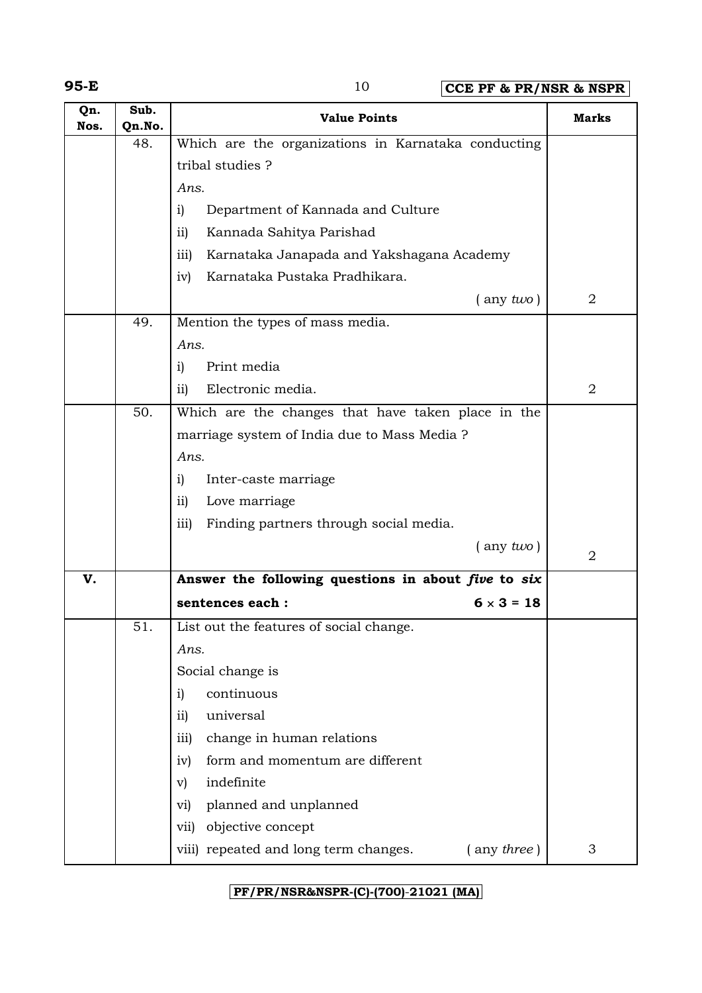**95-E** 10 **CCE PF & PR/NSR & NSPR**

| Qn.<br>Nos. | Sub.<br>Qn.No. | <b>Value Points</b>                                        | <b>Marks</b>   |
|-------------|----------------|------------------------------------------------------------|----------------|
|             | 48.            | Which are the organizations in Karnataka conducting        |                |
|             |                | tribal studies?                                            |                |
|             |                | Ans.                                                       |                |
|             |                | Department of Kannada and Culture<br>i)                    |                |
|             |                | Kannada Sahitya Parishad<br>$\overline{ii}$                |                |
|             |                | Karnataka Janapada and Yakshagana Academy<br>iii)          |                |
|             |                | Karnataka Pustaka Pradhikara.<br>iv)                       |                |
|             |                | $($ any two)                                               | 2              |
|             | 49.            | Mention the types of mass media.                           |                |
|             |                | Ans.                                                       |                |
|             |                | Print media<br>i)                                          |                |
|             |                | Electronic media.<br>$\overline{ii}$                       | $\overline{2}$ |
|             | 50.            | Which are the changes that have taken place in the         |                |
|             |                | marriage system of India due to Mass Media ?               |                |
|             |                | Ans.                                                       |                |
|             |                | i)<br>Inter-caste marriage                                 |                |
|             |                | Love marriage<br>$\overline{ii}$                           |                |
|             |                | Finding partners through social media.<br>iii)             |                |
|             |                | $($ any two)                                               | 2              |
| V.          |                | Answer the following questions in about five to six        |                |
|             |                | sentences each :<br>$6 \times 3 = 18$                      |                |
|             | 51.            | List out the features of social change.                    |                |
|             |                | Ans.                                                       |                |
|             |                | Social change is                                           |                |
|             |                | continuous<br>i)                                           |                |
|             |                | universal<br>ii)                                           |                |
|             |                | change in human relations<br>iii)                          |                |
|             |                | form and momentum are different<br>iv)                     |                |
|             |                | indefinite<br>$\mathbf{v}$                                 |                |
|             |                | planned and unplanned<br>vi)                               |                |
|             |                | objective concept<br>vii)                                  |                |
|             |                | viii) repeated and long term changes.<br>$($ any three $)$ | 3              |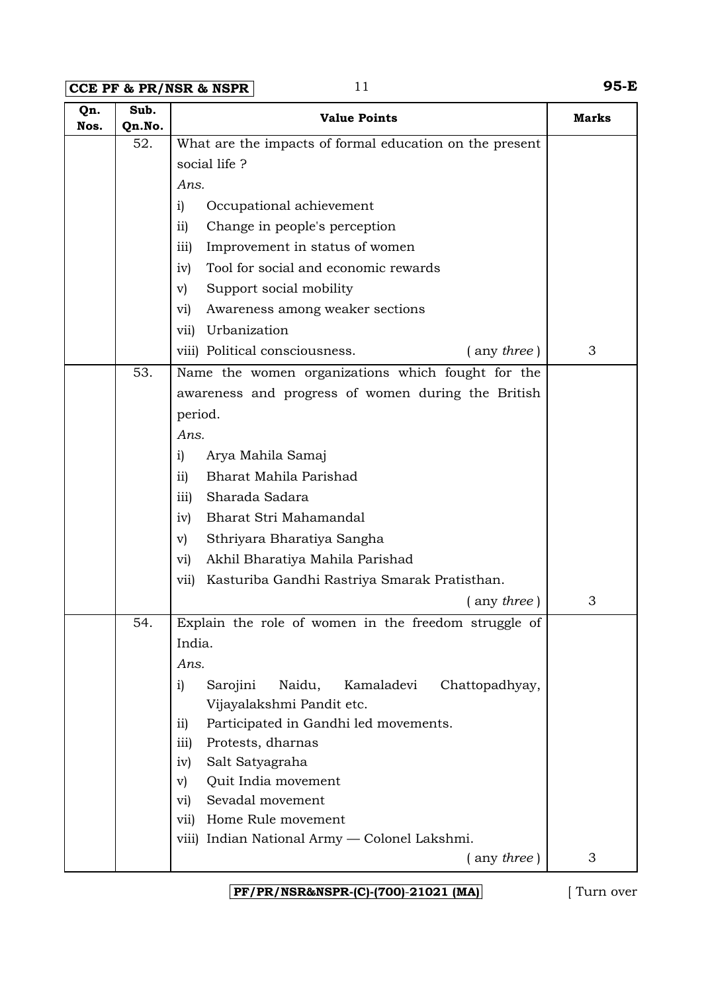**CCE PF & PR/NSR & NSPR** 11 **95-E**

| Qn.<br>Nos. | Sub.<br>Qn.No. | <b>Value Points</b>                                      | <b>Marks</b> |
|-------------|----------------|----------------------------------------------------------|--------------|
|             | 52.            | What are the impacts of formal education on the present  |              |
|             |                | social life?                                             |              |
|             |                | Ans.                                                     |              |
|             |                | Occupational achievement<br>$\mathbf{i}$                 |              |
|             |                | Change in people's perception<br>$\overline{11}$         |              |
|             |                | Improvement in status of women<br>iii)                   |              |
|             |                | Tool for social and economic rewards<br>iv)              |              |
|             |                | Support social mobility<br>$\mathbf{v})$                 |              |
|             |                | Awareness among weaker sections<br>vi)                   |              |
|             |                | Urbanization<br>vii)                                     |              |
|             |                | viii) Political consciousness.<br>$($ any three)         | 3            |
|             | 53.            | Name the women organizations which fought for the        |              |
|             |                | awareness and progress of women during the British       |              |
|             |                | period.                                                  |              |
|             |                | Ans.                                                     |              |
|             |                | i)<br>Arya Mahila Samaj                                  |              |
|             |                | Bharat Mahila Parishad<br>$\overline{11}$                |              |
|             |                | Sharada Sadara<br>iii)                                   |              |
|             |                | Bharat Stri Mahamandal<br>iv)                            |              |
|             |                | Sthriyara Bharatiya Sangha<br>V)                         |              |
|             |                | Akhil Bharatiya Mahila Parishad<br>vi)                   |              |
|             |                | Kasturiba Gandhi Rastriya Smarak Pratisthan.<br>vii)     |              |
|             |                | $($ any three $)$                                        | 3            |
|             | 54.            | Explain the role of women in the freedom struggle of     |              |
|             |                | India.                                                   |              |
|             |                | Ans.                                                     |              |
|             |                | Sarojini<br>Naidu,<br>Kamaladevi<br>Chattopadhyay,<br>i) |              |
|             |                | Vijayalakshmi Pandit etc.                                |              |
|             |                | Participated in Gandhi led movements.<br>$\overline{11}$ |              |
|             |                | Protests, dharnas<br>iii)                                |              |
|             |                | Salt Satyagraha<br>iv)                                   |              |
|             |                | Quit India movement<br>$\mathbf{v}$<br>Sevadal movement  |              |
|             |                | $\rm{vi)}$<br>Home Rule movement<br>vii)                 |              |
|             |                | viii) Indian National Army — Colonel Lakshmi.            |              |
|             |                | $($ any three)                                           | 3            |
|             |                |                                                          |              |